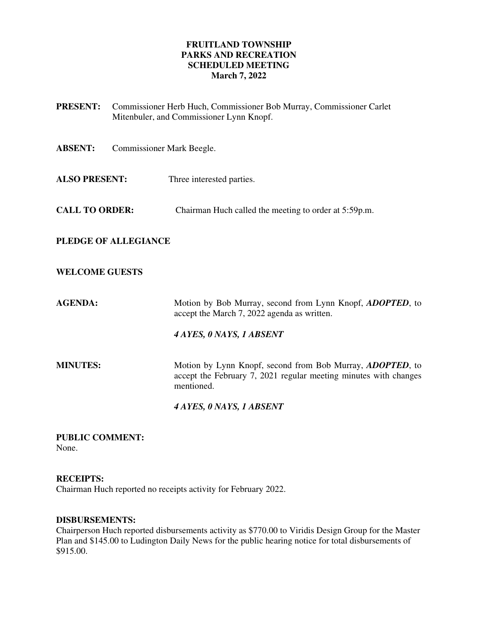## **FRUITLAND TOWNSHIP PARKS AND RECREATION SCHEDULED MEETING March 7, 2022**

| <b>PRESENT:</b>             | Commissioner Herb Huch, Commissioner Bob Murray, Commissioner Carlet<br>Mitenbuler, and Commissioner Lynn Knopf. |                                                                                                                                                     |
|-----------------------------|------------------------------------------------------------------------------------------------------------------|-----------------------------------------------------------------------------------------------------------------------------------------------------|
| <b>ABSENT:</b>              | Commissioner Mark Beegle.                                                                                        |                                                                                                                                                     |
| <b>ALSO PRESENT:</b>        |                                                                                                                  | Three interested parties.                                                                                                                           |
| <b>CALL TO ORDER:</b>       |                                                                                                                  | Chairman Huch called the meeting to order at 5:59p.m.                                                                                               |
| <b>PLEDGE OF ALLEGIANCE</b> |                                                                                                                  |                                                                                                                                                     |
| <b>WELCOME GUESTS</b>       |                                                                                                                  |                                                                                                                                                     |
| <b>AGENDA:</b>              |                                                                                                                  | Motion by Bob Murray, second from Lynn Knopf, <i>ADOPTED</i> , to<br>accept the March 7, 2022 agenda as written.                                    |
|                             |                                                                                                                  | 4 AYES, 0 NAYS, 1 ABSENT                                                                                                                            |
| <b>MINUTES:</b>             |                                                                                                                  | Motion by Lynn Knopf, second from Bob Murray, <i>ADOPTED</i> , to<br>accept the February 7, 2021 regular meeting minutes with changes<br>mentioned. |
|                             |                                                                                                                  | 4 AYES, 0 NAYS, 1 ABSENT                                                                                                                            |

**PUBLIC COMMENT:**  None.

**RECEIPTS:** 

Chairman Huch reported no receipts activity for February 2022.

## **DISBURSEMENTS:**

Chairperson Huch reported disbursements activity as \$770.00 to Viridis Design Group for the Master Plan and \$145.00 to Ludington Daily News for the public hearing notice for total disbursements of \$915.00.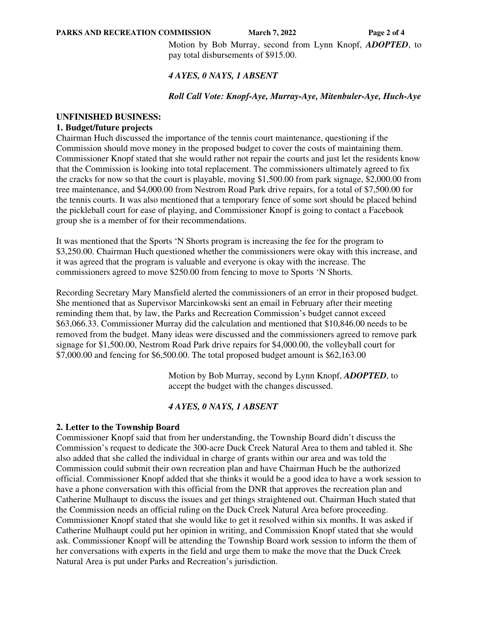**PARKS AND RECREATION COMMISSION** March 7, 2022 **Page 2 of 4** 

Motion by Bob Murray, second from Lynn Knopf, *ADOPTED*, to pay total disbursements of \$915.00.

## *4 AYES, 0 NAYS, 1 ABSENT*

## *Roll Call Vote: Knopf-Aye, Murray-Aye, Mitenbuler-Aye, Huch-Aye*

## **UNFINISHED BUSINESS:**

#### **1. Budget/future projects**

Chairman Huch discussed the importance of the tennis court maintenance, questioning if the Commission should move money in the proposed budget to cover the costs of maintaining them. Commissioner Knopf stated that she would rather not repair the courts and just let the residents know that the Commission is looking into total replacement. The commissioners ultimately agreed to fix the cracks for now so that the court is playable, moving \$1,500.00 from park signage, \$2,000.00 from tree maintenance, and \$4,000.00 from Nestrom Road Park drive repairs, for a total of \$7,500.00 for the tennis courts. It was also mentioned that a temporary fence of some sort should be placed behind the pickleball court for ease of playing, and Commissioner Knopf is going to contact a Facebook group she is a member of for their recommendations.

It was mentioned that the Sports 'N Shorts program is increasing the fee for the program to \$3,250.00. Chairman Huch questioned whether the commissioners were okay with this increase, and it was agreed that the program is valuable and everyone is okay with the increase. The commissioners agreed to move \$250.00 from fencing to move to Sports 'N Shorts.

Recording Secretary Mary Mansfield alerted the commissioners of an error in their proposed budget. She mentioned that as Supervisor Marcinkowski sent an email in February after their meeting reminding them that, by law, the Parks and Recreation Commission's budget cannot exceed \$63,066.33. Commissioner Murray did the calculation and mentioned that \$10,846.00 needs to be removed from the budget. Many ideas were discussed and the commissioners agreed to remove park signage for \$1,500.00, Nestrom Road Park drive repairs for \$4,000.00, the volleyball court for \$7,000.00 and fencing for \$6,500.00. The total proposed budget amount is \$62,163.00

> Motion by Bob Murray, second by Lynn Knopf, *ADOPTED*, to accept the budget with the changes discussed.

## *4 AYES, 0 NAYS, 1 ABSENT*

## **2. Letter to the Township Board**

Commissioner Knopf said that from her understanding, the Township Board didn't discuss the Commission's request to dedicate the 300-acre Duck Creek Natural Area to them and tabled it. She also added that she called the individual in charge of grants within our area and was told the Commission could submit their own recreation plan and have Chairman Huch be the authorized official. Commissioner Knopf added that she thinks it would be a good idea to have a work session to have a phone conversation with this official from the DNR that approves the recreation plan and Catherine Mulhaupt to discuss the issues and get things straightened out. Chairman Huch stated that the Commission needs an official ruling on the Duck Creek Natural Area before proceeding. Commissioner Knopf stated that she would like to get it resolved within six months. It was asked if Catherine Mulhaupt could put her opinion in writing, and Commission Knopf stated that she would ask. Commissioner Knopf will be attending the Township Board work session to inform the them of her conversations with experts in the field and urge them to make the move that the Duck Creek Natural Area is put under Parks and Recreation's jurisdiction.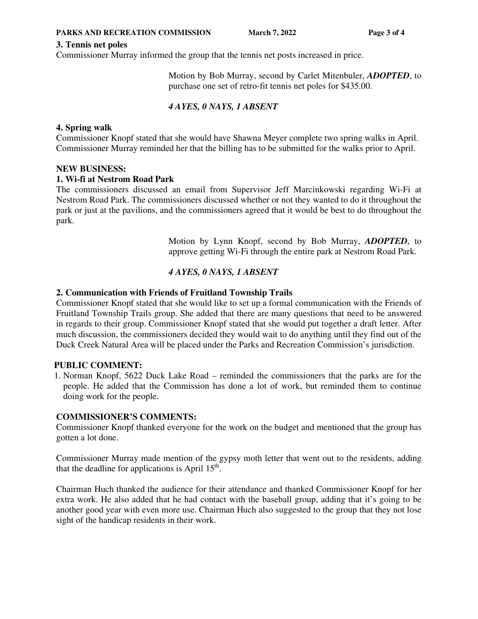## **3. Tennis net poles**

Commissioner Murray informed the group that the tennis net posts increased in price.

Motion by Bob Murray, second by Carlet Mitenbuler, *ADOPTED*, to purchase one set of retro-fit tennis net poles for \$435.00.

# *4 AYES, 0 NAYS, 1 ABSENT*

## **4. Spring walk**

Commissioner Knopf stated that she would have Shawna Meyer complete two spring walks in April. Commissioner Murray reminded her that the billing has to be submitted for the walks prior to April.

## **NEW BUSINESS:**

#### **1. Wi-fi at Nestrom Road Park**

The commissioners discussed an email from Supervisor Jeff Marcinkowski regarding Wi-Fi at Nestrom Road Park. The commissioners discussed whether or not they wanted to do it throughout the park or just at the pavilions, and the commissioners agreed that it would be best to do throughout the park.

> Motion by Lynn Knopf, second by Bob Murray, *ADOPTED*, to approve getting Wi-Fi through the entire park at Nestrom Road Park.

## *4 AYES, 0 NAYS, 1 ABSENT*

## **2. Communication with Friends of Fruitland Township Trails**

Commissioner Knopf stated that she would like to set up a formal communication with the Friends of Fruitland Township Trails group. She added that there are many questions that need to be answered in regards to their group. Commissioner Knopf stated that she would put together a draft letter. After much discussion, the commissioners decided they would wait to do anything until they find out of the Duck Creek Natural Area will be placed under the Parks and Recreation Commission's jurisdiction.

## **PUBLIC COMMENT:**

1. Norman Knopf, 5622 Duck Lake Road – reminded the commissioners that the parks are for the people. He added that the Commission has done a lot of work, but reminded them to continue doing work for the people.

## **COMMISSIONER'S COMMENTS:**

Commissioner Knopf thanked everyone for the work on the budget and mentioned that the group has gotten a lot done.

Commissioner Murray made mention of the gypsy moth letter that went out to the residents, adding that the deadline for applications is April  $15<sup>th</sup>$ .

Chairman Huch thanked the audience for their attendance and thanked Commissioner Knopf for her extra work. He also added that he had contact with the baseball group, adding that it's going to be another good year with even more use. Chairman Huch also suggested to the group that they not lose sight of the handicap residents in their work.